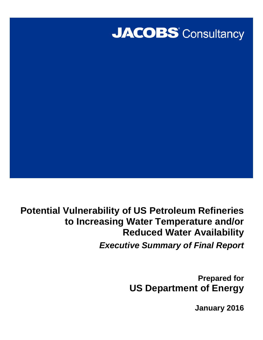

**Potential Vulnerability of US Petroleum Refineries to Increasing Water Temperature and/or Reduced Water Availability Executive Summary of Final Report** 

> **Prepared for US Department of Energy**

> > **January 2016**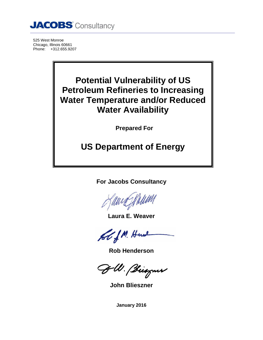

525 West Monroe Chicago, Illinois 60661 Phone: +312.655.9207

# **Potential Vulnerability of US Petroleum Refineries to Increasing Water Temperature and/or Reduced Water Availability**

**Prepared For** 

# **US Department of Energy**

**For Jacobs Consultancy** 

**Laura E. Weaver** 

ol J.M. Here

**Rob Henderson** 

JM. Biognes

**John Blieszner** 

**January 2016**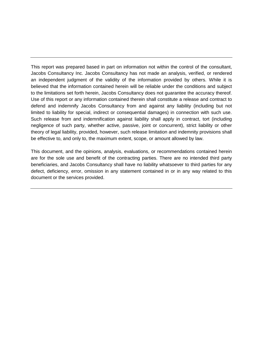This report was prepared based in part on information not within the control of the consultant, Jacobs Consultancy Inc. Jacobs Consultancy has not made an analysis, verified, or rendered an independent judgment of the validity of the information provided by others. While it is believed that the information contained herein will be reliable under the conditions and subject to the limitations set forth herein, Jacobs Consultancy does not guarantee the accuracy thereof. Use of this report or any information contained therein shall constitute a release and contract to defend and indemnify Jacobs Consultancy from and against any liability (including but not limited to liability for special, indirect or consequential damages) in connection with such use. Such release from and indemnification against liability shall apply in contract, tort (including negligence of such party, whether active, passive, joint or concurrent), strict liability or other theory of legal liability, provided, however, such release limitation and indemnity provisions shall be effective to, and only to, the maximum extent, scope, or amount allowed by law.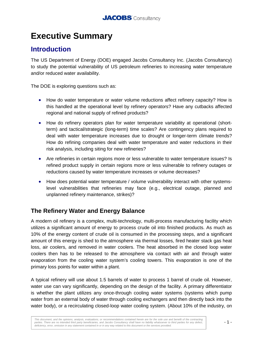# **Executive Summary**

# **Introduction**

The US Department of Energy (DOE) engaged Jacobs Consultancy Inc. (Jacobs Consultancy) to study the potential vulnerability of US petroleum refineries to increasing water temperature and/or reduced water availability.

The DOE is exploring questions such as:

- How do water temperature or water volume reductions affect refinery capacity? How is this handled at the operational level by refinery operators? Have any cutbacks affected regional and national supply of refined products?
- How do refinery operators plan for water temperature variability at operational (shortterm) and tactical/strategic (long-term) time scales? Are contingency plans required to deal with water temperature increases due to drought or longer-term climate trends? How do refining companies deal with water temperature and water reductions in their risk analysis, including siting for new refineries?
- Are refineries in certain regions more or less vulnerable to water temperature issues? Is refined product supply in certain regions more or less vulnerable to refinery outages or reductions caused by water temperature increases or volume decreases?
- How does potential water temperature / volume vulnerability interact with other systemslevel vulnerabilities that refineries may face (e.g., electrical outage, planned and unplanned refinery maintenance, strikes)?

### **The Refinery Water and Energy Balance**

A modern oil refinery is a complex, multi-technology, multi-process manufacturing facility which utilizes a significant amount of energy to process crude oil into finished products. As much as 10% of the energy content of crude oil is consumed in the processing steps, and a significant amount of this energy is shed to the atmosphere via thermal losses, fired heater stack gas heat loss, air coolers, and removed in water coolers. The heat absorbed in the closed loop water coolers then has to be released to the atmosphere via contact with air and through water evaporation from the cooling water system's cooling towers. This evaporation is one of the primary loss points for water within a plant.

A typical refinery will use about 1.5 barrels of water to process 1 barrel of crude oil. However, water use can vary significantly, depending on the design of the facility. A primary differentiator is whether the plant utilizes any once-through cooling water systems (systems which pump water from an external body of water through cooling exchangers and then directly back into the water body), or a recirculating closed-loop water cooling system. (About 10% of the industry, on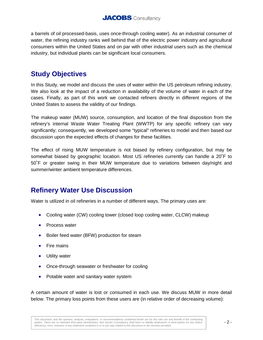a barrels of oil processed-basis, uses once-through cooling water). As an industrial consumer of water, the refining industry ranks well behind that of the electric power industry and agricultural consumers within the United States and on par with other industrial users such as the chemical industry, but individual plants can be significant local consumers.

### **Study Objectives**

In this Study, we model and discuss the uses of water within the US petroleum refining industry. We also look at the impact of a reduction in availability of the volume of water in each of the cases. Finally, as part of this work we contacted refiners directly in different regions of the United States to assess the validity of our findings.

The makeup water (MUW) source, consumption, and location of the final disposition from the refinery's internal Waste Water Treating Plant (WWTP) for any specific refinery can vary significantly; consequently, we developed some "typical" refineries to model and then based our discussion upon the expected effects of changes for these facilities.

The effect of rising MUW temperature is not biased by refinery configuration, but may be somewhat biased by geographic location. Most US refineries currently can handle a 20˚F to 50˚F or greater swing in their MUW temperature due to variations between day/night and summer/winter ambient temperature differences.

# **Refinery Water Use Discussion**

Water is utilized in oil refineries in a number of different ways. The primary uses are:

- Cooling water (CW) cooling tower (closed loop cooling water, CLCW) makeup
- Process water
- Boiler feed water (BFW) production for steam
- Fire mains
- Utility water
- Once-through seawater or freshwater for cooling
- Potable water and sanitary water system

A certain amount of water is lost or consumed in each use. We discuss MUW in more detail below. The primary loss points from these users are (in relative order of decreasing volume):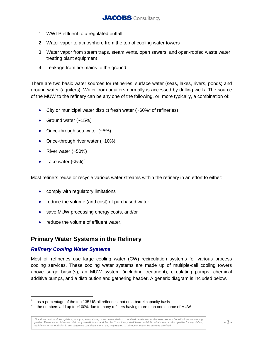- 1. WWTP effluent to a regulated outfall
- 2. Water vapor to atmosphere from the top of cooling water towers
- 3. Water vapor from steam traps, steam vents, open sewers, and open-roofed waste water treating plant equipment
- 4. Leakage from fire mains to the ground

There are two basic water sources for refineries: surface water (seas, lakes, rivers, ponds) and ground water (aquifers). Water from aquifers normally is accessed by drilling wells. The source of the MUW to the refinery can be any one of the following, or, more typically, a combination of:

- City or municipal water district fresh water  $(-60\%)^1$  of refineries)
- Ground water (~15%)
- Once-through sea water  $(-5%)$
- Once-through river water (~10%)
- River water (~50%)
- Lake water  $(<5\%)^2$

Most refiners reuse or recycle various water streams within the refinery in an effort to either:

- comply with regulatory limitations
- reduce the volume (and cost) of purchased water
- save MUW processing energy costs, and/or
- reduce the volume of effluent water.

#### **Primary Water Systems in the Refinery**

#### **Refinery Cooling Water Systems**

Most oil refineries use large cooling water (CW) recirculation systems for various process cooling services. These cooling water systems are made up of multiple-cell cooling towers above surge basin(s), an MUW system (including treatment), circulating pumps, chemical additive pumps, and a distribution and gathering header. A generic diagram is included below.

<sup>1</sup> as a percentage of the top 135 US oil refineries, not on a barrel capacity basis

<sup>2</sup> the numbers add up to >100% due to many refiners having more than one source of MUW

This document, and the opinions, analysis, evaluations, or recommendations contained herein are for the sole use and benefit of the contracting parties. There are no intended third party beneficiaries, and Jacobs Consultancy shall have no liability whatsoever to third parties for any defect, deficiency, error, omission in any statement contained in or in any way related to this document or the services provided.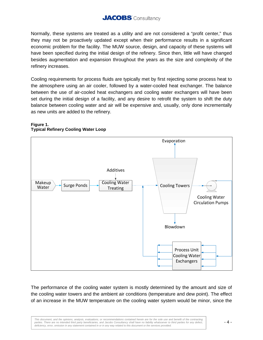### **JACOBS** Consultancy

Normally, these systems are treated as a utility and are not considered a "profit center," thus they may not be proactively updated except when their performance results in a significant economic problem for the facility. The MUW source, design, and capacity of these systems will have been specified during the initial design of the refinery. Since then, little will have changed besides augmentation and expansion throughout the years as the size and complexity of the refinery increases.

Cooling requirements for process fluids are typically met by first rejecting some process heat to the atmosphere using an air cooler, followed by a water-cooled heat exchanger. The balance between the use of air-cooled heat exchangers and cooling water exchangers will have been set during the initial design of a facility, and any desire to retrofit the system to shift the duty balance between cooling water and air will be expensive and, usually, only done incrementally as new units are added to the refinery.

#### **Figure 1. Typical Refinery Cooling Water Loop**



The performance of the cooling water system is mostly determined by the amount and size of the cooling water towers and the ambient air conditions (temperature and dew point). The effect of an increase in the MUW temperature on the cooling water system would be minor, since the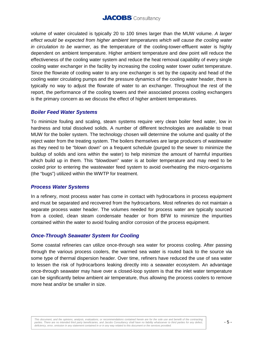

volume of water circulated is typically 20 to 100 times larger than the MUW volume. A larger effect would be expected from higher ambient temperatures which will cause the cooling water in circulation to be warmer, as the temperature of the cooling-tower-effluent water is highly dependent on ambient temperature. Higher ambient temperature and dew point will reduce the effectiveness of the cooling water system and reduce the heat removal capability of every single cooling water exchanger in the facility by increasing the cooling water tower outlet temperature. Since the flowrate of cooling water to any one exchanger is set by the capacity and head of the cooling water circulating pumps and the pressure dynamics of the cooling water header, there is typically no way to adjust the flowrate of water to an exchanger. Throughout the rest of the report, the performance of the cooling towers and their associated process cooling exchangers is the primary concern as we discuss the effect of higher ambient temperatures.

#### **Boiler Feed Water Systems**

To minimize fouling and scaling, steam systems require very clean boiler feed water, low in hardness and total dissolved solids. A number of different technologies are available to treat MUW for the boiler system. The technology chosen will determine the volume and quality of the reject water from the treating system. The boilers themselves are large producers of wastewater as they need to be "blown down" on a frequent schedule (purged to the sewer to minimize the buildup of solids and ions within the water) to help minimize the amount of harmful impurities which build up in them. This "blowdown" water is at boiler temperature and may need to be cooled prior to entering the wastewater feed system to avoid overheating the micro-organisms (the "bugs") utilized within the WWTP for treatment.

#### **Process Water Systems**

In a refinery, most process water has come in contact with hydrocarbons in process equipment and must be separated and recovered from the hydrocarbons. Most refineries do not maintain a separate process water header. The volumes needed for process water are typically sourced from a cooled, clean steam condensate header or from BFW to minimize the impurities contained within the water to avoid fouling and/or corrosion of the process equipment.

#### **Once-Through Seawater System for Cooling**

Some coastal refineries can utilize once-through sea water for process cooling. After passing through the various process coolers, the warmed sea water is routed back to the source via some type of thermal dispersion header. Over time, refiners have reduced the use of sea water to lessen the risk of hydrocarbons leaking directly into a seawater ecosystem. An advantage once-through seawater may have over a closed-loop system is that the inlet water temperature can be significantly below ambient air temperature, thus allowing the process coolers to remove more heat and/or be smaller in size.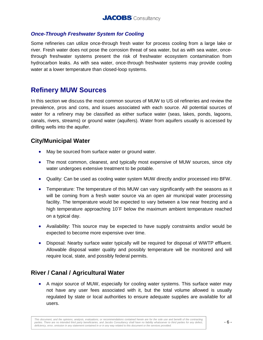#### **Once-Through Freshwater System for Cooling**

Some refineries can utilize once-through fresh water for process cooling from a large lake or river. Fresh water does not pose the corrosion threat of sea water, but as with sea water, oncethrough freshwater systems present the risk of freshwater ecosystem contamination from hydrocarbon leaks. As with sea water, once-through freshwater systems may provide cooling water at a lower temperature than closed-loop systems.

### **Refinery MUW Sources**

In this section we discuss the most common sources of MUW to US oil refineries and review the prevalence, pros and cons, and issues associated with each source. All potential sources of water for a refinery may be classified as either surface water (seas, lakes, ponds, lagoons, canals, rivers, streams) or ground water (aquifers). Water from aquifers usually is accessed by drilling wells into the aquifer.

#### **City/Municipal Water**

- May be sourced from surface water or ground water.
- The most common, cleanest, and typically most expensive of MUW sources, since city water undergoes extensive treatment to be potable.
- Quality: Can be used as cooling water system MUW directly and/or processed into BFW.
- Temperature: The temperature of this MUW can vary significantly with the seasons as it will be coming from a fresh water source via an open air municipal water processing facility. The temperature would be expected to vary between a low near freezing and a high temperature approaching 10˚F below the maximum ambient temperature reached on a typical day.
- Availability: This source may be expected to have supply constraints and/or would be expected to become more expensive over time.
- Disposal: Nearby surface water typically will be required for disposal of WWTP effluent. Allowable disposal water quality and possibly temperature will be monitored and will require local, state, and possibly federal permits.

#### **River / Canal / Agricultural Water**

• A major source of MUW, especially for cooling water systems. This surface water may not have any user fees associated with it, but the total volume allowed is usually regulated by state or local authorities to ensure adequate supplies are available for all users.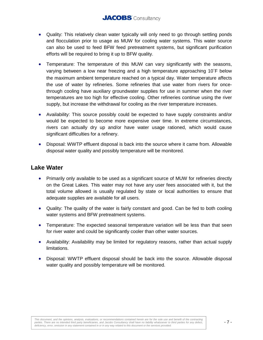- Quality: This relatively clean water typically will only need to go through settling ponds and flocculation prior to usage as MUW for cooling water systems. This water source can also be used to feed BFW feed pretreatment systems, but significant purification efforts will be required to bring it up to BFW quality.
- Temperature: The temperature of this MUW can vary significantly with the seasons, varying between a low near freezing and a high temperature approaching 10˚F below the maximum ambient temperature reached on a typical day. Water temperature affects the use of water by refineries. Some refineries that use water from rivers for oncethrough cooling have auxiliary groundwater supplies for use in summer when the river temperatures are too high for effective cooling. Other refineries continue using the river supply, but increase the withdrawal for cooling as the river temperature increases.
- Availability: This source possibly could be expected to have supply constraints and/or would be expected to become more expensive over time. In extreme circumstances, rivers can actually dry up and/or have water usage rationed, which would cause significant difficulties for a refinery.
- Disposal: WWTP effluent disposal is back into the source where it came from. Allowable disposal water quality and possibly temperature will be monitored.

#### **Lake Water**

- Primarily only available to be used as a significant source of MUW for refineries directly on the Great Lakes. This water may not have any user fees associated with it, but the total volume allowed is usually regulated by state or local authorities to ensure that adequate supplies are available for all users.
- Quality: The quality of the water is fairly constant and good. Can be fed to both cooling water systems and BFW pretreatment systems.
- Temperature: The expected seasonal temperature variation will be less than that seen for river water and could be significantly cooler than other water sources.
- Availability: Availability may be limited for regulatory reasons, rather than actual supply limitations.
- Disposal: WWTP effluent disposal should be back into the source. Allowable disposal water quality and possibly temperature will be monitored.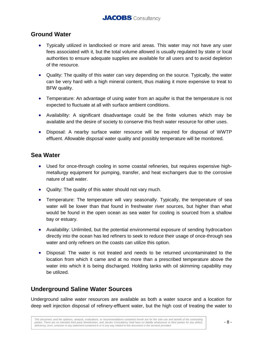#### **Ground Water**

- Typically utilized in landlocked or more arid areas. This water may not have any user fees associated with it, but the total volume allowed is usually regulated by state or local authorities to ensure adequate supplies are available for all users and to avoid depletion of the resource.
- Quality: The quality of this water can vary depending on the source. Typically, the water can be very hard with a high mineral content, thus making it more expensive to treat to BFW quality.
- Temperature: An advantage of using water from an aquifer is that the temperature is not expected to fluctuate at all with surface ambient conditions.
- Availability: A significant disadvantage could be the finite volumes which may be available and the desire of society to conserve this fresh water resource for other uses.
- Disposal: A nearby surface water resource will be required for disposal of WWTP effluent. Allowable disposal water quality and possibly temperature will be monitored.

#### **Sea Water**

- Used for once-through cooling in some coastal refineries, but requires expensive highmetallurgy equipment for pumping, transfer, and heat exchangers due to the corrosive nature of salt water.
- Quality: The quality of this water should not vary much.
- Temperature: The temperature will vary seasonally. Typically, the temperature of sea water will be lower than that found in freshwater river sources, but higher than what would be found in the open ocean as sea water for cooling is sourced from a shallow bay or estuary.
- Availability: Unlimited, but the potential environmental exposure of sending hydrocarbon directly into the ocean has led refiners to seek to reduce their usage of once-through sea water and only refiners on the coasts can utilize this option.
- Disposal: The water is not treated and needs to be returned uncontaminated to the location from which it came and at no more than a prescribed temperature above the water into which it is being discharged. Holding tanks with oil skimming capability may be utilized.

### **Underground Saline Water Sources**

Underground saline water resources are available as both a water source and a location for deep well injection disposal of refinery-effluent water, but the high cost of treating the water to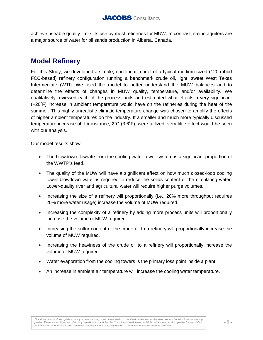achieve useable quality limits its use by most refineries for MUW. In contrast, saline aquifers are a major source of water for oil sands production in Alberta, Canada.

# **Model Refinery**

For this Study, we developed a simple, non-linear model of a typical medium-sized (120-mbpd FCC-based) refinery configuration running a benchmark crude oil, light, sweet West Texas Intermediate (WTI). We used the model to better understand the MUW balances and to determine the effects of changes in MUW quality, temperature, and/or availability. We qualitatively reviewed each of the process units and estimated what effects a very significant (+20˚F) increase in ambient temperature would have on the refineries during the heat of the summer. This highly unrealistic climatic temperature change was chosen to amplify the effects of higher ambient temperatures on the industry. If a smaller and much more typically discussed temperature increase of, for instance, 2˚C (3.6˚F), were utilized, very little effect would be seen with our analysis.

Our model results show:

- The blowdown flowrate from the cooling water tower system is a significant proportion of the WWTP's feed.
- The quality of the MUW will have a significant effect on how much closed-loop cooling tower blowdown water is required to reduce the solids content of the circulating water. Lower-quality river and agricultural water will require higher purge volumes.
- Increasing the size of a refinery will proportionally (i.e., 20% more throughput requires 20% more water usage) increase the volume of MUW required.
- Increasing the complexity of a refinery by adding more process units will proportionally increase the volume of MUW required.
- Increasing the sulfur content of the crude oil to a refinery will proportionally increase the volume of MUW required.
- Increasing the heaviness of the crude oil to a refinery will proportionally increase the volume of MUW required.
- Water evaporation from the cooling towers is the primary loss point inside a plant.
- An increase in ambient air temperature will increase the cooling water temperature.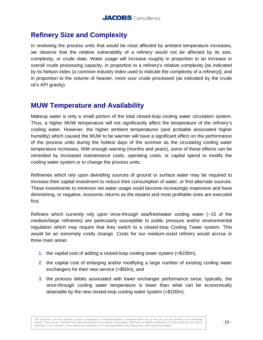# **Refinery Size and Complexity**

In reviewing the process units that would be most affected by ambient temperature increases, we observe that the relative vulnerability of a refinery would not be affected by its size, complexity, or crude slate. Water usage will increase roughly in proportion to an increase in overall crude processing capacity, in proportion to a refinery's relative complexity [as indicated by its Nelson index (a common industry index used to indicate the complexity of a refinery)], and in proportion to the volume of heavier, more sour crude processed (as indicated by the crude oil's API gravity).

### **MUW Temperature and Availability**

Makeup water is only a small portion of the total closed-loop cooling water circulation system. Thus, a higher MUW temperature will not significantly affect the temperature of the refinery's cooling water. However, the higher ambient temperatures (and probable associated higher humidity) which caused the MUW to be warmer will have a significant effect on the performance of the process units during the hottest days of the summer as the circulating cooling water temperature increases. With enough warning (months and years), some of these effects can be remedied by increased maintenance costs, operating costs, or capital spend to modify the cooling water system or to change the process units.

Refineries which rely upon dwindling sources of ground or surface water may be required to increase their capital investment to reduce their consumption of water, or find alternate sources. These investments to minimize net water usage could become increasingly expensive and have diminishing, or negative, economic returns as the easiest and most profitable ones are executed first.

Refiners which currently rely upon once-through sea/freshwater cooling water (~15 of the medium/large refineries) are particularly susceptible to public pressure and/or environmental regulation which may require that they switch to a closed-loop Cooling Tower system. This would be an extremely costly change. Costs for our medium-sized refinery would accrue in three main areas:

- 1. the capital cost of adding a closed-loop cooling tower system (>\$100m),
- 2. the capital cost of enlarging and/or modifying a large number of existing cooling water exchangers for their new service (>\$50m), and
- 3. the process debits associated with lower exchanger performance since, typically, the once-through cooling water temperature is lower than what can be economically attainable by the new closed-loop cooling water system (>\$100m).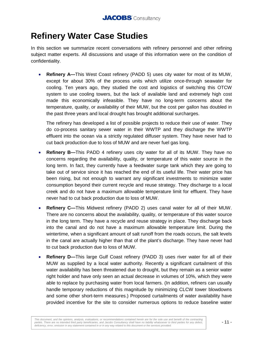# **Refinery Water Case Studies**

In this section we summarize recent conversations with refinery personnel and other refining subject matter experts. All discussions and usage of this information were on the condition of confidentiality.

• **Refinery A—**This West Coast refinery (PADD 5) uses city water for most of its MUW, except for about 30% of the process units which utilize once-through seawater for cooling. Ten years ago, they studied the cost and logistics of switching this OTCW system to use cooling towers, but the lack of available land and extremely high cost made this economically infeasible. They have no long-term concerns about the temperature, quality, or availability of their MUW, but the cost per gallon has doubled in the past three years and local drought has brought additional surcharges.

The refinery has developed a list of possible projects to reduce their use of water. They do co-process sanitary sewer water in their WWTP and they discharge the WWTP effluent into the ocean via a strictly regulated diffuser system. They have never had to cut back production due to loss of MUW and are never fuel gas long.

- **Refinery B—**This PADD 4 refinery uses city water for all of its MUW. They have no concerns regarding the availability, quality, or temperature of this water source in the long term. In fact, they currently have a feedwater surge tank which they are going to take out of service since it has reached the end of its useful life. Their water price has been rising, but not enough to warrant any significant investments to minimize water consumption beyond their current recycle and reuse strategy. They discharge to a local creek and do not have a maximum allowable temperature limit for effluent. They have never had to cut back production due to loss of MUW.
- **Refinery C—**This Midwest refinery (PADD 2) uses canal water for all of their MUW. There are no concerns about the availability, quality, or temperature of this water source in the long term. They have a recycle and reuse strategy in place. They discharge back into the canal and do not have a maximum allowable temperature limit. During the wintertime, when a significant amount of salt runoff from the roads occurs, the salt levels in the canal are actually higher than that of the plant's discharge. They have never had to cut back production due to loss of MUW.
- **Refinery D—This large Gulf Coast refinery (PADD 3) uses river water for all of their** MUW as supplied by a local water authority. Recently a significant curtailment of this water availability has been threatened due to drought, but they remain as a senior water right holder and have only seen an actual decrease in volumes of 10%, which they were able to replace by purchasing water from local farmers. (In addition, refiners can usually handle temporary reductions of this magnitude by minimizing CLCW tower blowdowns and some other short-term measures.) Proposed curtailments of water availability have provided incentive for the site to consider numerous options to reduce baseline water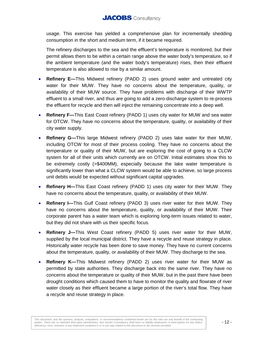### **JACOBS** Consultancy

usage. This exercise has yielded a comprehensive plan for incrementally shedding consumption in the short and medium term, if it became required.

The refinery discharges to the sea and the effluent's temperature is monitored, but their permit allows them to be within a certain range above the water body's temperature, so if the ambient temperature (and the water body's temperature) rises, then their effluent temperature is also allowed to rise by a similar amount.

- **Refinery E—**This Midwest refinery (PADD 2) uses ground water and untreated city water for their MUW. They have no concerns about the temperature, quality, or availability of their MUW source. They have problems with discharge of their WWTP effluent to a small river, and thus are going to add a zero-discharge system to re-process the effluent for recycle and then will inject the remaining concentrate into a deep well.
- **Refinery F—**This East Coast refinery (PADD 1) uses city water for MUW and sea water for OTCW. They have no concerns about the temperature, quality, or availability of their city water supply.
- **Refinery G—**This large Midwest refinery (PADD 2) uses lake water for their MUW, including OTCW for most of their process cooling. They have no concerns about the temperature or quality of their MUW, but are exploring the cost of going to a CLCW system for all of their units which currently are on OTCW. Initial estimates show this to be extremely costly (>\$400MM), especially because the lake water temperature is significantly lower than what a CLCW system would be able to achieve, so large process unit debits would be expected without significant capital upgrades.
- **Refinery H—**This East Coast refinery (PADD 1) uses city water for their MUW. They have no concerns about the temperature, quality, or availability of their MUW.
- **Refinery I-This Gulf Coast refinery (PADD 3) uses river water for their MUW. They** have no concerns about the temperature, quality, or availability of their MUW. Their corporate parent has a water team which is exploring long-term issues related to water, but they did not share with us their specific focus.
- **Refinery J—**This West Coast refinery (PADD 5) uses river water for their MUW, supplied by the local municipal district. They have a recycle and reuse strategy in place. Historically water recycle has been done to save money. They have no current concerns about the temperature, quality, or availability of their MUW. They discharge to the sea.
- **Refinery K—**This Midwest refinery (PADD 2) uses river water for their MUW as permitted by state authorities. They discharge back into the same river. They have no concerns about the temperature or quality of their MUW, but in the past there have been drought conditions which caused them to have to monitor the quality and flowrate of river water closely as their effluent became a large portion of the river's total flow. They have a recycle and reuse strategy in place.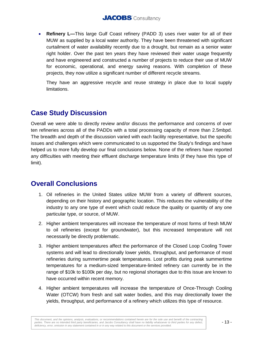• **Refinery L—**This large Gulf Coast refinery (PADD 3) uses river water for all of their MUW as supplied by a local water authority. They have been threatened with significant curtailment of water availability recently due to a drought, but remain as a senior water right holder. Over the past ten years they have reviewed their water usage frequently and have engineered and constructed a number of projects to reduce their use of MUW for economic, operational, and energy saving reasons. With completion of these projects, they now utilize a significant number of different recycle streams.

They have an aggressive recycle and reuse strategy in place due to local supply limitations.

# **Case Study Discussion**

Overall we were able to directly review and/or discuss the performance and concerns of over ten refineries across all of the PADDs with a total processing capacity of more than 2.5mbpd. The breadth and depth of the discussion varied with each facility representative, but the specific issues and challenges which were communicated to us supported the Study's findings and have helped us to more fully develop our final conclusions below. None of the refiners have reported any difficulties with meeting their effluent discharge temperature limits (if they have this type of limit).

# **Overall Conclusions**

- 1. Oil refineries in the United States utilize MUW from a variety of different sources, depending on their history and geographic location. This reduces the vulnerability of the industry to any one type of event which could reduce the quality or quantity of any one particular type, or source, of MUW.
- 2. Higher ambient temperatures will increase the temperature of most forms of fresh MUW to oil refineries (except for groundwater), but this increased temperature will not necessarily be directly problematic.
- 3. Higher ambient temperatures affect the performance of the Closed Loop Cooling Tower systems and will lead to directionally lower yields, throughput, and performance of most refineries during summertime peak temperatures. Lost profits during peak summertime temperatures for a medium-sized temperature-limited refinery can currently be in the range of \$10k to \$100k per day, but no regional shortages due to this issue are known to have occurred within recent memory.
- 4. Higher ambient temperatures will increase the temperature of Once-Through Cooling Water (OTCW) from fresh and salt water bodies, and this may directionally lower the yields, throughput, and performance of a refinery which utilizes this type of resource.